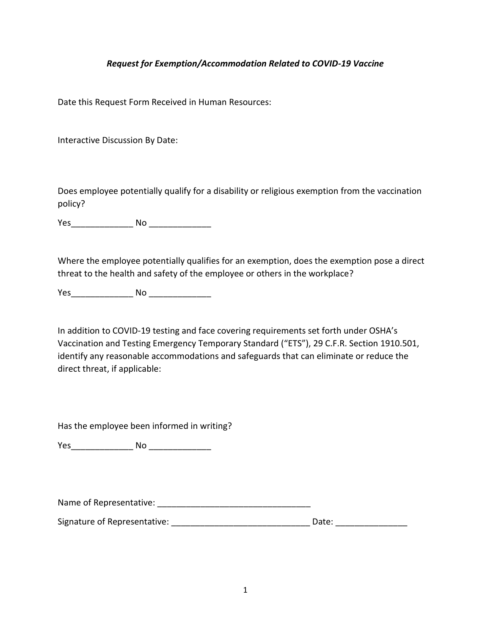### *Request for Exemption/Accommodation Related to COVID-19 Vaccine*

Date this Request Form Received in Human Resources:

Interactive Discussion By Date:

Does employee potentially qualify for a disability or religious exemption from the vaccination policy?

Yes\_\_\_\_\_\_\_\_\_\_\_\_\_ No \_\_\_\_\_\_\_\_\_\_\_\_\_

Where the employee potentially qualifies for an exemption, does the exemption pose a direct threat to the health and safety of the employee or others in the workplace?

Yes and No  $\blacksquare$ 

In addition to COVID-19 testing and face covering requirements set forth under OSHA's Vaccination and Testing Emergency Temporary Standard ("ETS"), 29 C.F.R. Section 1910.501, identify any reasonable accommodations and safeguards that can eliminate or reduce the direct threat, if applicable:

Has the employee been informed in writing?

Yes\_\_\_\_\_\_\_\_\_\_\_\_\_ No \_\_\_\_\_\_\_\_\_\_\_\_\_

Name of Representative:  $\blacksquare$ 

Signature of Representative: \_\_\_\_\_\_\_\_\_\_\_\_\_\_\_\_\_\_\_\_\_\_\_\_\_\_\_\_\_ Date: \_\_\_\_\_\_\_\_\_\_\_\_\_\_\_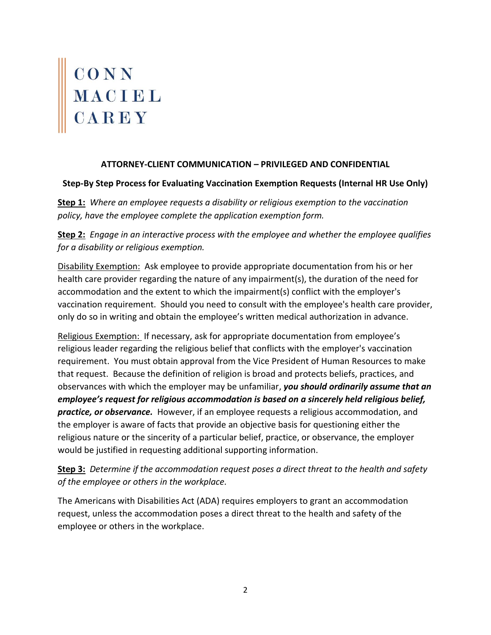# CONN<br>MACIEL<br>CAREY

## **ATTORNEY-CLIENT COMMUNICATION – PRIVILEGED AND CONFIDENTIAL**

### **Step-By Step Process for Evaluating Vaccination Exemption Requests (Internal HR Use Only)**

**Step 1:** *Where an employee requests a disability or religious exemption to the vaccination policy, have the employee complete the application exemption form.* 

**Step 2:** *Engage in an interactive process with the employee and whether the employee qualifies for a disability or religious exemption.* 

Disability Exemption: Ask employee to provide appropriate documentation from his or her health care provider regarding the nature of any impairment(s), the duration of the need for accommodation and the extent to which the impairment(s) conflict with the employer's vaccination requirement. Should you need to consult with the employee's health care provider, only do so in writing and obtain the employee's written medical authorization in advance.

Religious Exemption: If necessary, ask for appropriate documentation from employee's religious leader regarding the religious belief that conflicts with the employer's vaccination requirement. You must obtain approval from the Vice President of Human Resources to make that request. Because the definition of religion is broad and protects beliefs, practices, and observances with which the employer may be unfamiliar, *you should ordinarily assume that an employee's request for religious accommodation is based on a sincerely held religious belief, practice, or observance.* However, if an employee requests a religious accommodation, and the employer is aware of facts that provide an objective basis for questioning either the religious nature or the sincerity of a particular belief, practice, or observance, the employer would be justified in requesting additional supporting information.

**Step 3:** *Determine if the accommodation request poses a direct threat to the health and safety of the employee or others in the workplace.* 

The Americans with Disabilities Act (ADA) requires employers to grant an accommodation request, unless the accommodation poses a direct threat to the health and safety of the employee or others in the workplace.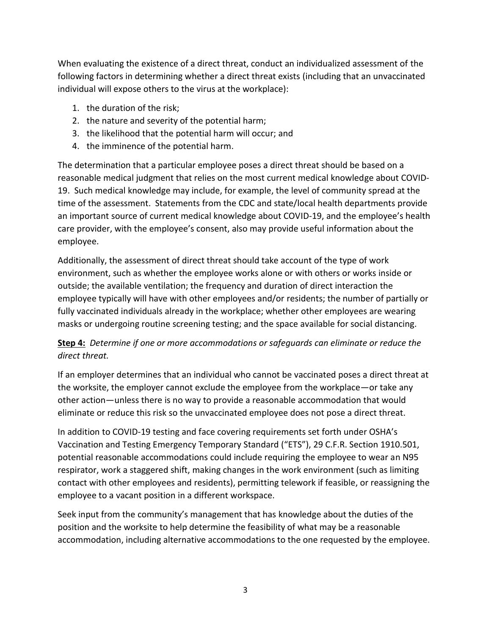When evaluating the existence of a direct threat, conduct an individualized assessment of the following factors in determining whether a direct threat exists (including that an unvaccinated individual will expose others to the virus at the workplace):

- 1. the duration of the risk;
- 2. the nature and severity of the potential harm;
- 3. the likelihood that the potential harm will occur; and
- 4. the imminence of the potential harm.

The determination that a particular employee poses a direct threat should be based on a reasonable medical judgment that relies on the most current medical knowledge about COVID-19. Such medical knowledge may include, for example, the level of community spread at the time of the assessment. Statements from the CDC and state/local health departments provide an important source of current medical knowledge about COVID-19, and the employee's health care provider, with the employee's consent, also may provide useful information about the employee.

Additionally, the assessment of direct threat should take account of the type of work environment, such as whether the employee works alone or with others or works inside or outside; the available ventilation; the frequency and duration of direct interaction the employee typically will have with other employees and/or residents; the number of partially or fully vaccinated individuals already in the workplace; whether other employees are wearing masks or undergoing routine screening testing; and the space available for social distancing.

# **Step 4:** *Determine if one or more accommodations or safeguards can eliminate or reduce the direct threat.*

If an employer determines that an individual who cannot be vaccinated poses a direct threat at the worksite, the employer cannot exclude the employee from the workplace—or take any other action—unless there is no way to provide a reasonable accommodation that would eliminate or reduce this risk so the unvaccinated employee does not pose a direct threat.

In addition to COVID-19 testing and face covering requirements set forth under OSHA's Vaccination and Testing Emergency Temporary Standard ("ETS"), 29 C.F.R. Section 1910.501, potential reasonable accommodations could include requiring the employee to wear an N95 respirator, work a staggered shift, making changes in the work environment (such as limiting contact with other employees and residents), permitting telework if feasible, or reassigning the employee to a vacant position in a different workspace.

Seek input from the community's management that has knowledge about the duties of the position and the worksite to help determine the feasibility of what may be a reasonable accommodation, including alternative accommodations to the one requested by the employee.